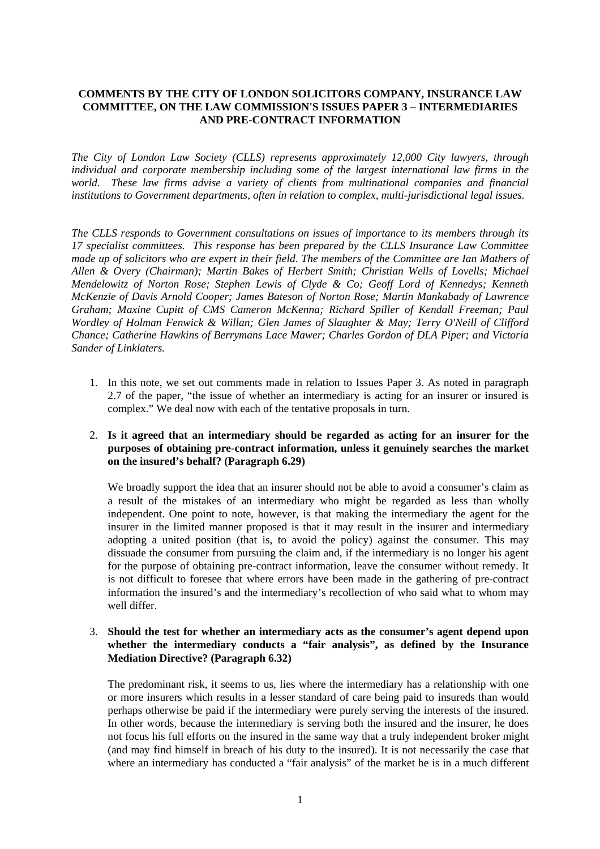## **COMMENTS BY THE CITY OF LONDON SOLICITORS COMPANY, INSURANCE LAW COMMITTEE, ON THE LAW COMMISSION'S ISSUES PAPER 3 – INTERMEDIARIES AND PRE-CONTRACT INFORMATION**

*The City of London Law Society (CLLS) represents approximately 12,000 City lawyers, through individual and corporate membership including some of the largest international law firms in the* world. These law firms advise a variety of clients from multinational companies and financial *institutions to Government departments, often in relation to complex, multi-jurisdictional legal issues.* 

*The CLLS responds to Government consultations on issues of importance to its members through its 17 specialist committees. This response has been prepared by the CLLS Insurance Law Committee made up of solicitors who are expert in their field. The members of the Committee are Ian Mathers of Allen & Overy (Chairman); Martin Bakes of Herbert Smith; Christian Wells of Lovells; Michael Mendelowitz of Norton Rose; Stephen Lewis of Clyde & Co; Geoff Lord of Kennedys; Kenneth McKenzie of Davis Arnold Cooper; James Bateson of Norton Rose; Martin Mankabady of Lawrence Graham; Maxine Cupitt of CMS Cameron McKenna; Richard Spiller of Kendall Freeman; Paul Wordley of Holman Fenwick & Willan; Glen James of Slaughter & May; Terry O'Neill of Clifford Chance; Catherine Hawkins of Berrymans Lace Mawer; Charles Gordon of DLA Piper; and Victoria Sander of Linklaters.* 

- 1. In this note, we set out comments made in relation to Issues Paper 3. As noted in paragraph 2.7 of the paper, "the issue of whether an intermediary is acting for an insurer or insured is complex." We deal now with each of the tentative proposals in turn.
- 2. **Is it agreed that an intermediary should be regarded as acting for an insurer for the purposes of obtaining pre-contract information, unless it genuinely searches the market on the insured's behalf? (Paragraph 6.29)**

We broadly support the idea that an insurer should not be able to avoid a consumer's claim as a result of the mistakes of an intermediary who might be regarded as less than wholly independent. One point to note, however, is that making the intermediary the agent for the insurer in the limited manner proposed is that it may result in the insurer and intermediary adopting a united position (that is, to avoid the policy) against the consumer. This may dissuade the consumer from pursuing the claim and, if the intermediary is no longer his agent for the purpose of obtaining pre-contract information, leave the consumer without remedy. It is not difficult to foresee that where errors have been made in the gathering of pre-contract information the insured's and the intermediary's recollection of who said what to whom may well differ.

## 3. **Should the test for whether an intermediary acts as the consumer's agent depend upon whether the intermediary conducts a "fair analysis", as defined by the Insurance Mediation Directive? (Paragraph 6.32)**

The predominant risk, it seems to us, lies where the intermediary has a relationship with one or more insurers which results in a lesser standard of care being paid to insureds than would perhaps otherwise be paid if the intermediary were purely serving the interests of the insured. In other words, because the intermediary is serving both the insured and the insurer, he does not focus his full efforts on the insured in the same way that a truly independent broker might (and may find himself in breach of his duty to the insured). It is not necessarily the case that where an intermediary has conducted a "fair analysis" of the market he is in a much different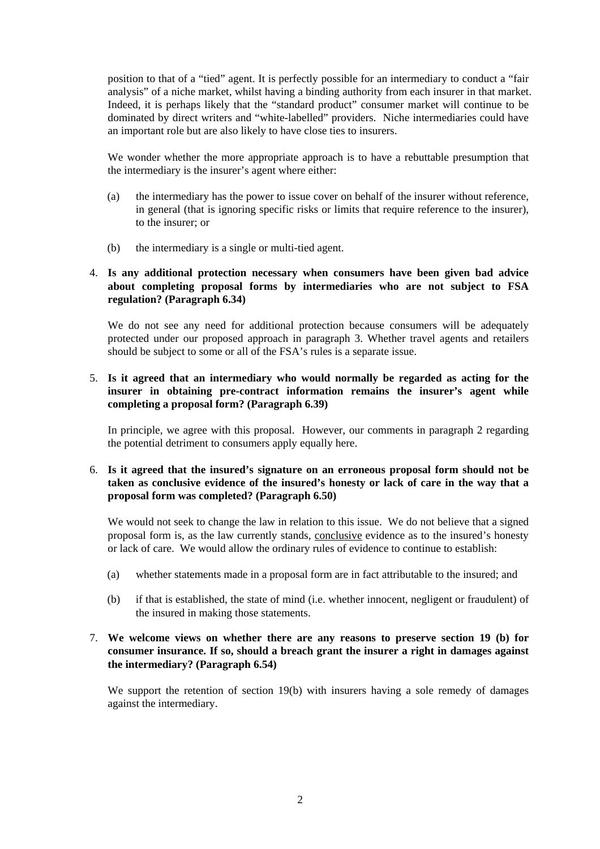position to that of a "tied" agent. It is perfectly possible for an intermediary to conduct a "fair analysis" of a niche market, whilst having a binding authority from each insurer in that market. Indeed, it is perhaps likely that the "standard product" consumer market will continue to be dominated by direct writers and "white-labelled" providers. Niche intermediaries could have an important role but are also likely to have close ties to insurers.

We wonder whether the more appropriate approach is to have a rebuttable presumption that the intermediary is the insurer's agent where either:

- (a) the intermediary has the power to issue cover on behalf of the insurer without reference, in general (that is ignoring specific risks or limits that require reference to the insurer), to the insurer; or
- (b) the intermediary is a single or multi-tied agent.

## 4. **Is any additional protection necessary when consumers have been given bad advice about completing proposal forms by intermediaries who are not subject to FSA regulation? (Paragraph 6.34)**

We do not see any need for additional protection because consumers will be adequately protected under our proposed approach in paragraph 3. Whether travel agents and retailers should be subject to some or all of the FSA's rules is a separate issue.

## 5. **Is it agreed that an intermediary who would normally be regarded as acting for the insurer in obtaining pre-contract information remains the insurer's agent while completing a proposal form? (Paragraph 6.39)**

In principle, we agree with this proposal. However, our comments in paragraph 2 regarding the potential detriment to consumers apply equally here.

## 6. **Is it agreed that the insured's signature on an erroneous proposal form should not be taken as conclusive evidence of the insured's honesty or lack of care in the way that a proposal form was completed? (Paragraph 6.50)**

We would not seek to change the law in relation to this issue. We do not believe that a signed proposal form is, as the law currently stands, conclusive evidence as to the insured's honesty or lack of care. We would allow the ordinary rules of evidence to continue to establish:

- (a) whether statements made in a proposal form are in fact attributable to the insured; and
- (b) if that is established, the state of mind (i.e. whether innocent, negligent or fraudulent) of the insured in making those statements.

# 7. **We welcome views on whether there are any reasons to preserve section 19 (b) for consumer insurance. If so, should a breach grant the insurer a right in damages against the intermediary? (Paragraph 6.54)**

We support the retention of section 19(b) with insurers having a sole remedy of damages against the intermediary.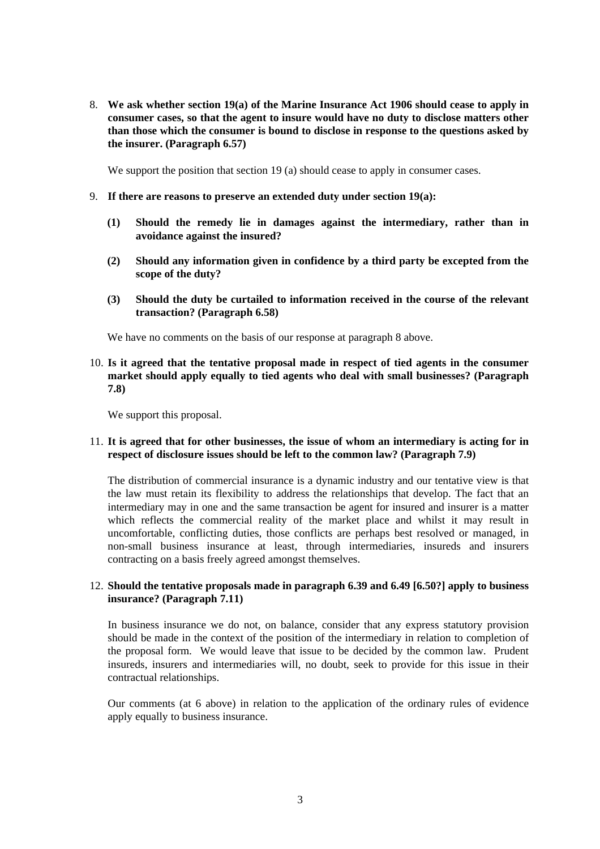8. **We ask whether section 19(a) of the Marine Insurance Act 1906 should cease to apply in consumer cases, so that the agent to insure would have no duty to disclose matters other than those which the consumer is bound to disclose in response to the questions asked by the insurer. (Paragraph 6.57)**

We support the position that section 19 (a) should cease to apply in consumer cases.

- 9. **If there are reasons to preserve an extended duty under section 19(a):**
	- **(1) Should the remedy lie in damages against the intermediary, rather than in avoidance against the insured?**
	- **(2) Should any information given in confidence by a third party be excepted from the scope of the duty?**
	- **(3) Should the duty be curtailed to information received in the course of the relevant transaction? (Paragraph 6.58)**

We have no comments on the basis of our response at paragraph 8 above.

10. **Is it agreed that the tentative proposal made in respect of tied agents in the consumer market should apply equally to tied agents who deal with small businesses? (Paragraph 7.8)**

We support this proposal.

## 11. **It is agreed that for other businesses, the issue of whom an intermediary is acting for in respect of disclosure issues should be left to the common law? (Paragraph 7.9)**

The distribution of commercial insurance is a dynamic industry and our tentative view is that the law must retain its flexibility to address the relationships that develop. The fact that an intermediary may in one and the same transaction be agent for insured and insurer is a matter which reflects the commercial reality of the market place and whilst it may result in uncomfortable, conflicting duties, those conflicts are perhaps best resolved or managed, in non-small business insurance at least, through intermediaries, insureds and insurers contracting on a basis freely agreed amongst themselves.

## 12. **Should the tentative proposals made in paragraph 6.39 and 6.49 [6.50?] apply to business insurance? (Paragraph 7.11)**

In business insurance we do not, on balance, consider that any express statutory provision should be made in the context of the position of the intermediary in relation to completion of the proposal form. We would leave that issue to be decided by the common law. Prudent insureds, insurers and intermediaries will, no doubt, seek to provide for this issue in their contractual relationships.

Our comments (at 6 above) in relation to the application of the ordinary rules of evidence apply equally to business insurance.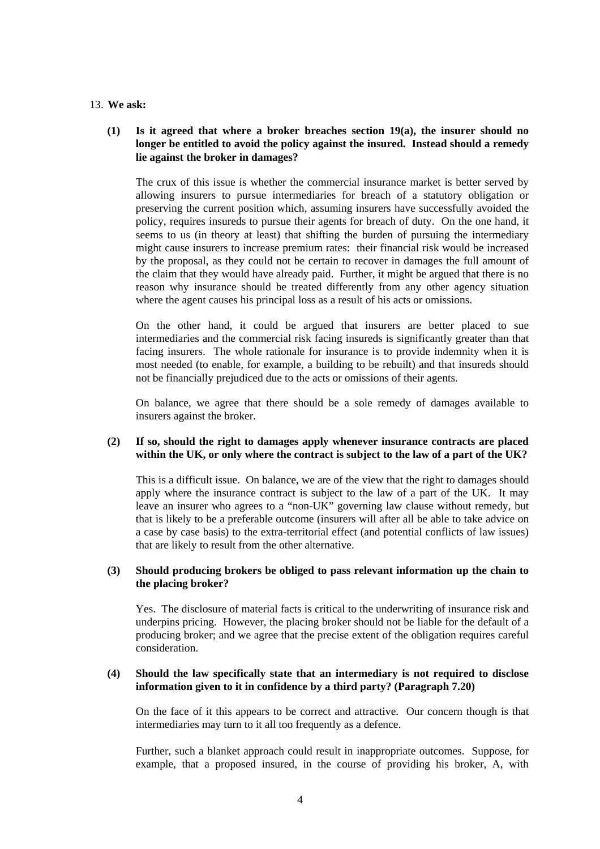### 13. **We ask:**

# **(1) Is it agreed that where a broker breaches section 19(a), the insurer should no longer be entitled to avoid the policy against the insured. Instead should a remedy lie against the broker in damages?**

The crux of this issue is whether the commercial insurance market is better served by allowing insurers to pursue intermediaries for breach of a statutory obligation or preserving the current position which, assuming insurers have successfully avoided the policy, requires insureds to pursue their agents for breach of duty. On the one hand, it seems to us (in theory at least) that shifting the burden of pursuing the intermediary might cause insurers to increase premium rates: their financial risk would be increased by the proposal, as they could not be certain to recover in damages the full amount of the claim that they would have already paid. Further, it might be argued that there is no reason why insurance should be treated differently from any other agency situation where the agent causes his principal loss as a result of his acts or omissions.

On the other hand, it could be argued that insurers are better placed to sue intermediaries and the commercial risk facing insureds is significantly greater than that facing insurers. The whole rationale for insurance is to provide indemnity when it is most needed (to enable, for example, a building to be rebuilt) and that insureds should not be financially prejudiced due to the acts or omissions of their agents.

On balance, we agree that there should be a sole remedy of damages available to insurers against the broker.

## **(2) If so, should the right to damages apply whenever insurance contracts are placed within the UK, or only where the contract is subject to the law of a part of the UK?**

This is a difficult issue. On balance, we are of the view that the right to damages should apply where the insurance contract is subject to the law of a part of the UK. It may leave an insurer who agrees to a "non-UK" governing law clause without remedy, but that is likely to be a preferable outcome (insurers will after all be able to take advice on a case by case basis) to the extra-territorial effect (and potential conflicts of law issues) that are likely to result from the other alternative.

## **(3) Should producing brokers be obliged to pass relevant information up the chain to the placing broker?**

Yes. The disclosure of material facts is critical to the underwriting of insurance risk and underpins pricing. However, the placing broker should not be liable for the default of a producing broker; and we agree that the precise extent of the obligation requires careful consideration.

## **(4) Should the law specifically state that an intermediary is not required to disclose information given to it in confidence by a third party? (Paragraph 7.20)**

On the face of it this appears to be correct and attractive. Our concern though is that intermediaries may turn to it all too frequently as a defence.

Further, such a blanket approach could result in inappropriate outcomes. Suppose, for example, that a proposed insured, in the course of providing his broker, A, with